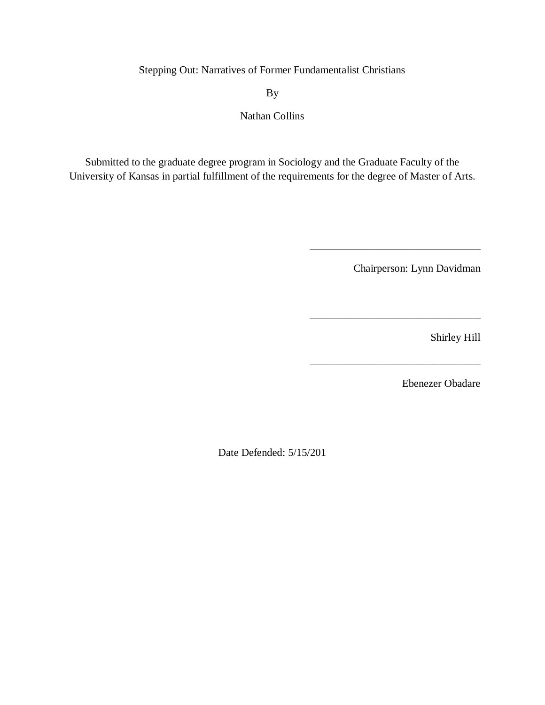Stepping Out: Narratives of Former Fundamentalist Christians

By

Nathan Collins

Submitted to the graduate degree program in Sociology and the Graduate Faculty of the University of Kansas in partial fulfillment of the requirements for the degree of Master of Arts.

Chairperson: Lynn Davidman

\_\_\_\_\_\_\_\_\_\_\_\_\_\_\_\_\_\_\_\_\_\_\_\_\_\_\_\_\_\_\_\_

\_\_\_\_\_\_\_\_\_\_\_\_\_\_\_\_\_\_\_\_\_\_\_\_\_\_\_\_\_\_\_\_

\_\_\_\_\_\_\_\_\_\_\_\_\_\_\_\_\_\_\_\_\_\_\_\_\_\_\_\_\_\_\_\_

Shirley Hill

Ebenezer Obadare

Date Defended: 5/15/201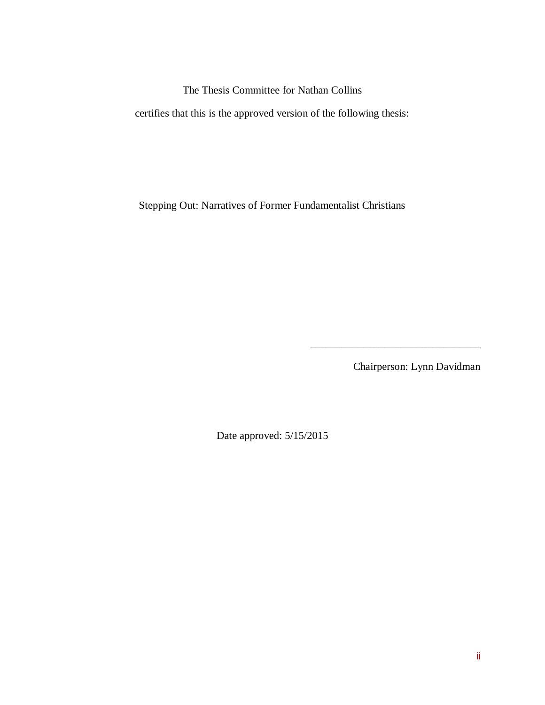The Thesis Committee for Nathan Collins

certifies that this is the approved version of the following thesis:

Stepping Out: Narratives of Former Fundamentalist Christians

Chairperson: Lynn Davidman

 $\overline{\phantom{a}}$  ,  $\overline{\phantom{a}}$  ,  $\overline{\phantom{a}}$  ,  $\overline{\phantom{a}}$  ,  $\overline{\phantom{a}}$  ,  $\overline{\phantom{a}}$  ,  $\overline{\phantom{a}}$  ,  $\overline{\phantom{a}}$  ,  $\overline{\phantom{a}}$  ,  $\overline{\phantom{a}}$  ,  $\overline{\phantom{a}}$  ,  $\overline{\phantom{a}}$  ,  $\overline{\phantom{a}}$  ,  $\overline{\phantom{a}}$  ,  $\overline{\phantom{a}}$  ,  $\overline{\phantom{a}}$ 

Date approved: 5/15/2015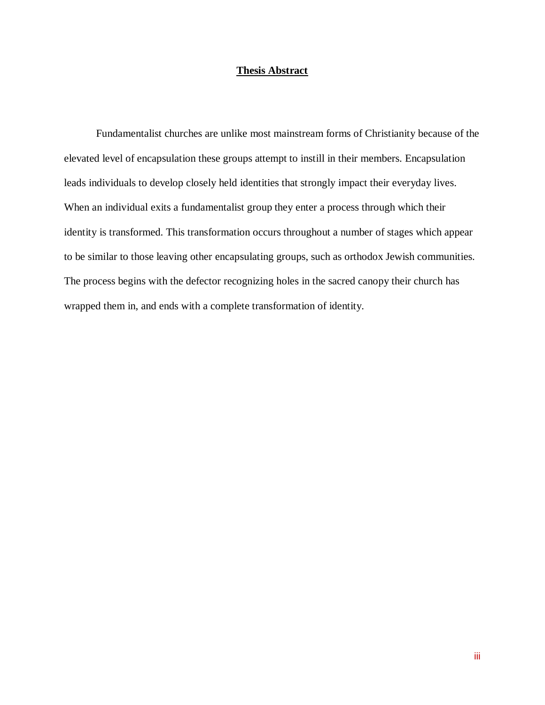### **Thesis Abstract**

Fundamentalist churches are unlike most mainstream forms of Christianity because of the elevated level of encapsulation these groups attempt to instill in their members. Encapsulation leads individuals to develop closely held identities that strongly impact their everyday lives. When an individual exits a fundamentalist group they enter a process through which their identity is transformed. This transformation occurs throughout a number of stages which appear to be similar to those leaving other encapsulating groups, such as orthodox Jewish communities. The process begins with the defector recognizing holes in the sacred canopy their church has wrapped them in, and ends with a complete transformation of identity.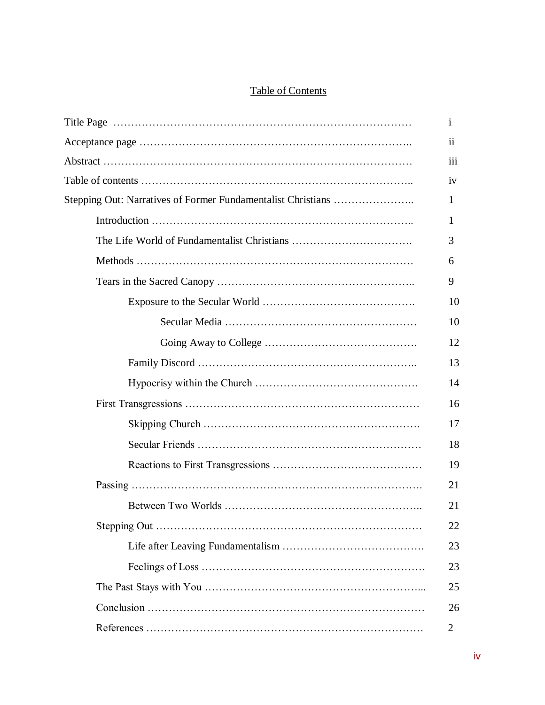# Table of Contents

| $\mathbf{i}$            |
|-------------------------|
| $\overline{\mathbf{u}}$ |
| iii                     |
| iv                      |
| $\mathbf{1}$            |
| 1                       |
| 3                       |
| 6                       |
| 9                       |
| 10                      |
| 10                      |
| 12                      |
| 13                      |
| 14                      |
| 16                      |
| 17                      |
| 18                      |
| 19                      |
| 21                      |
| 21                      |
| 22                      |
| 23                      |
| 23                      |
| 25                      |
| 26                      |
| $\overline{2}$          |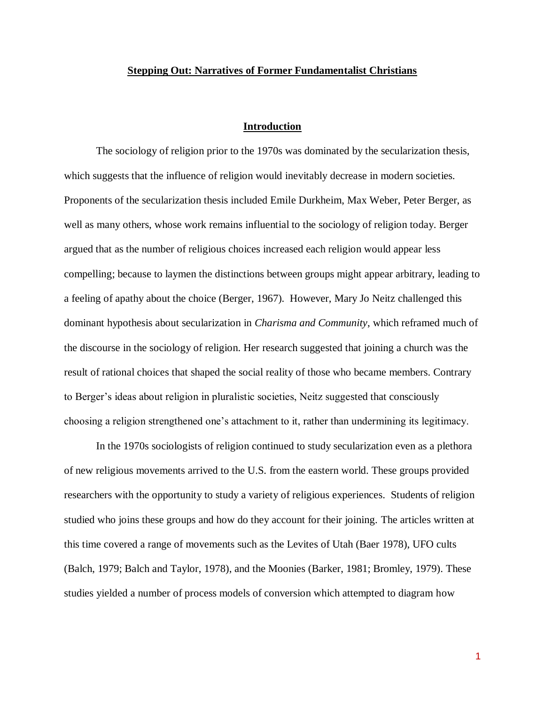### **Stepping Out: Narratives of Former Fundamentalist Christians**

### **Introduction**

The sociology of religion prior to the 1970s was dominated by the secularization thesis, which suggests that the influence of religion would inevitably decrease in modern societies. Proponents of the secularization thesis included Emile Durkheim, Max Weber, Peter Berger, as well as many others, whose work remains influential to the sociology of religion today. Berger argued that as the number of religious choices increased each religion would appear less compelling; because to laymen the distinctions between groups might appear arbitrary, leading to a feeling of apathy about the choice (Berger, 1967). However, Mary Jo Neitz challenged this dominant hypothesis about secularization in *Charisma and Community*, which reframed much of the discourse in the sociology of religion. Her research suggested that joining a church was the result of rational choices that shaped the social reality of those who became members. Contrary to Berger's ideas about religion in pluralistic societies, Neitz suggested that consciously choosing a religion strengthened one's attachment to it, rather than undermining its legitimacy.

In the 1970s sociologists of religion continued to study secularization even as a plethora of new religious movements arrived to the U.S. from the eastern world. These groups provided researchers with the opportunity to study a variety of religious experiences. Students of religion studied who joins these groups and how do they account for their joining. The articles written at this time covered a range of movements such as the Levites of Utah (Baer 1978), UFO cults (Balch, 1979; Balch and Taylor, 1978), and the Moonies (Barker, 1981; Bromley, 1979). These studies yielded a number of process models of conversion which attempted to diagram how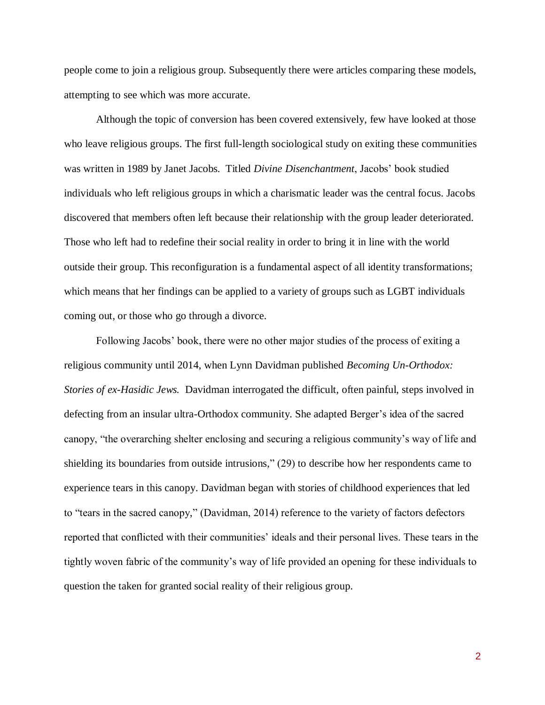people come to join a religious group. Subsequently there were articles comparing these models, attempting to see which was more accurate.

Although the topic of conversion has been covered extensively, few have looked at those who leave religious groups. The first full-length sociological study on exiting these communities was written in 1989 by Janet Jacobs. Titled *Divine Disenchantment*, Jacobs' book studied individuals who left religious groups in which a charismatic leader was the central focus. Jacobs discovered that members often left because their relationship with the group leader deteriorated. Those who left had to redefine their social reality in order to bring it in line with the world outside their group. This reconfiguration is a fundamental aspect of all identity transformations; which means that her findings can be applied to a variety of groups such as LGBT individuals coming out, or those who go through a divorce.

Following Jacobs' book, there were no other major studies of the process of exiting a religious community until 2014, when Lynn Davidman published *Becoming Un-Orthodox: Stories of ex-Hasidic Jews.* Davidman interrogated the difficult, often painful, steps involved in defecting from an insular ultra-Orthodox community. She adapted Berger's idea of the sacred canopy, "the overarching shelter enclosing and securing a religious community's way of life and shielding its boundaries from outside intrusions," (29) to describe how her respondents came to experience tears in this canopy. Davidman began with stories of childhood experiences that led to "tears in the sacred canopy," (Davidman, 2014) reference to the variety of factors defectors reported that conflicted with their communities' ideals and their personal lives. These tears in the tightly woven fabric of the community's way of life provided an opening for these individuals to question the taken for granted social reality of their religious group.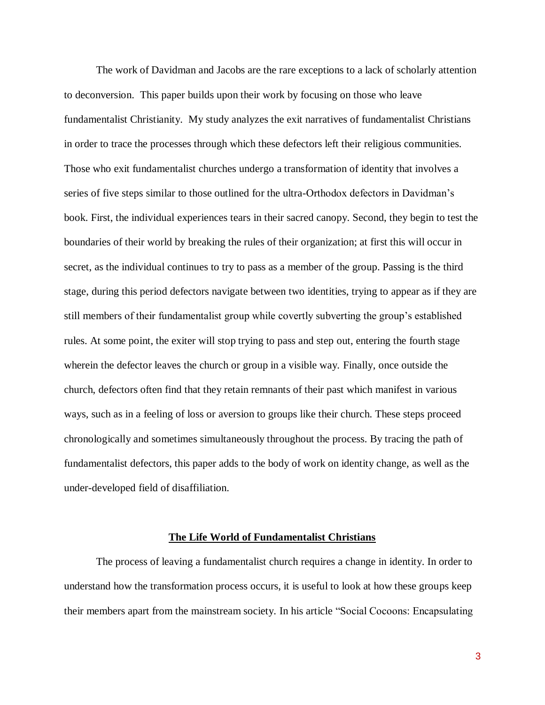The work of Davidman and Jacobs are the rare exceptions to a lack of scholarly attention to deconversion. This paper builds upon their work by focusing on those who leave fundamentalist Christianity. My study analyzes the exit narratives of fundamentalist Christians in order to trace the processes through which these defectors left their religious communities. Those who exit fundamentalist churches undergo a transformation of identity that involves a series of five steps similar to those outlined for the ultra-Orthodox defectors in Davidman's book. First, the individual experiences tears in their sacred canopy. Second, they begin to test the boundaries of their world by breaking the rules of their organization; at first this will occur in secret, as the individual continues to try to pass as a member of the group. Passing is the third stage, during this period defectors navigate between two identities, trying to appear as if they are still members of their fundamentalist group while covertly subverting the group's established rules. At some point, the exiter will stop trying to pass and step out, entering the fourth stage wherein the defector leaves the church or group in a visible way. Finally, once outside the church, defectors often find that they retain remnants of their past which manifest in various ways, such as in a feeling of loss or aversion to groups like their church. These steps proceed chronologically and sometimes simultaneously throughout the process. By tracing the path of fundamentalist defectors, this paper adds to the body of work on identity change, as well as the under-developed field of disaffiliation.

#### **The Life World of Fundamentalist Christians**

The process of leaving a fundamentalist church requires a change in identity. In order to understand how the transformation process occurs, it is useful to look at how these groups keep their members apart from the mainstream society. In his article "Social Cocoons: Encapsulating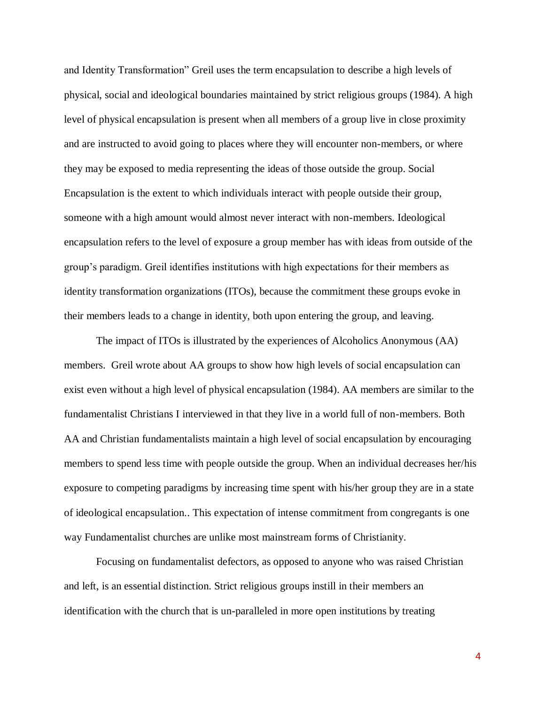and Identity Transformation" Greil uses the term encapsulation to describe a high levels of physical, social and ideological boundaries maintained by strict religious groups (1984). A high level of physical encapsulation is present when all members of a group live in close proximity and are instructed to avoid going to places where they will encounter non-members, or where they may be exposed to media representing the ideas of those outside the group. Social Encapsulation is the extent to which individuals interact with people outside their group, someone with a high amount would almost never interact with non-members. Ideological encapsulation refers to the level of exposure a group member has with ideas from outside of the group's paradigm. Greil identifies institutions with high expectations for their members as identity transformation organizations (ITOs), because the commitment these groups evoke in their members leads to a change in identity, both upon entering the group, and leaving.

The impact of ITOs is illustrated by the experiences of Alcoholics Anonymous (AA) members. Greil wrote about AA groups to show how high levels of social encapsulation can exist even without a high level of physical encapsulation (1984). AA members are similar to the fundamentalist Christians I interviewed in that they live in a world full of non-members. Both AA and Christian fundamentalists maintain a high level of social encapsulation by encouraging members to spend less time with people outside the group. When an individual decreases her/his exposure to competing paradigms by increasing time spent with his/her group they are in a state of ideological encapsulation.. This expectation of intense commitment from congregants is one way Fundamentalist churches are unlike most mainstream forms of Christianity.

Focusing on fundamentalist defectors, as opposed to anyone who was raised Christian and left, is an essential distinction. Strict religious groups instill in their members an identification with the church that is un-paralleled in more open institutions by treating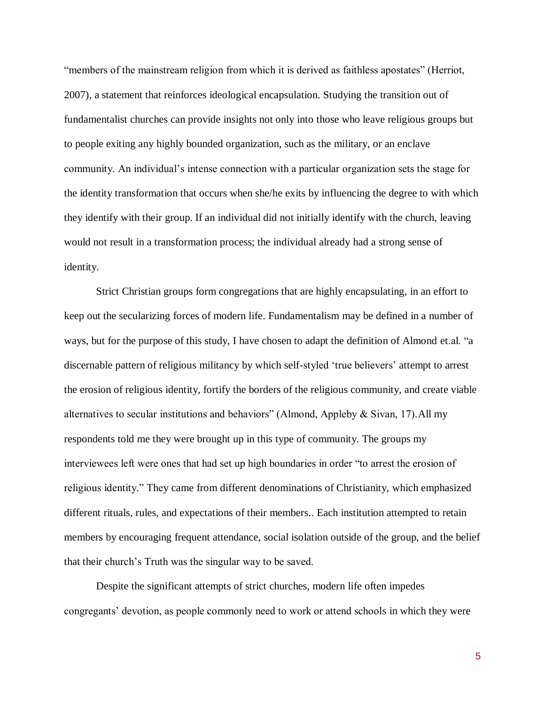"members of the mainstream religion from which it is derived as faithless apostates" (Herriot, 2007), a statement that reinforces ideological encapsulation. Studying the transition out of fundamentalist churches can provide insights not only into those who leave religious groups but to people exiting any highly bounded organization, such as the military, or an enclave community. An individual's intense connection with a particular organization sets the stage for the identity transformation that occurs when she/he exits by influencing the degree to with which they identify with their group. If an individual did not initially identify with the church, leaving would not result in a transformation process; the individual already had a strong sense of identity.

Strict Christian groups form congregations that are highly encapsulating, in an effort to keep out the secularizing forces of modern life. Fundamentalism may be defined in a number of ways, but for the purpose of this study, I have chosen to adapt the definition of Almond et.al. "a discernable pattern of religious militancy by which self-styled 'true believers' attempt to arrest the erosion of religious identity, fortify the borders of the religious community, and create viable alternatives to secular institutions and behaviors" (Almond, Appleby & Sivan, 17).All my respondents told me they were brought up in this type of community. The groups my interviewees left were ones that had set up high boundaries in order "to arrest the erosion of religious identity." They came from different denominations of Christianity, which emphasized different rituals, rules, and expectations of their members.. Each institution attempted to retain members by encouraging frequent attendance, social isolation outside of the group, and the belief that their church's Truth was the singular way to be saved.

Despite the significant attempts of strict churches, modern life often impedes congregants' devotion, as people commonly need to work or attend schools in which they were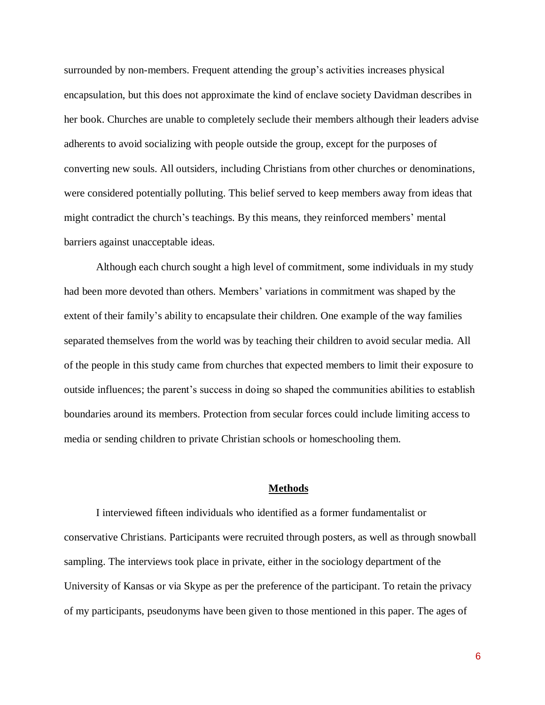surrounded by non-members. Frequent attending the group's activities increases physical encapsulation, but this does not approximate the kind of enclave society Davidman describes in her book. Churches are unable to completely seclude their members although their leaders advise adherents to avoid socializing with people outside the group, except for the purposes of converting new souls. All outsiders, including Christians from other churches or denominations, were considered potentially polluting. This belief served to keep members away from ideas that might contradict the church's teachings. By this means, they reinforced members' mental barriers against unacceptable ideas.

Although each church sought a high level of commitment, some individuals in my study had been more devoted than others. Members' variations in commitment was shaped by the extent of their family's ability to encapsulate their children. One example of the way families separated themselves from the world was by teaching their children to avoid secular media. All of the people in this study came from churches that expected members to limit their exposure to outside influences; the parent's success in doing so shaped the communities abilities to establish boundaries around its members. Protection from secular forces could include limiting access to media or sending children to private Christian schools or homeschooling them.

### **Methods**

I interviewed fifteen individuals who identified as a former fundamentalist or conservative Christians. Participants were recruited through posters, as well as through snowball sampling. The interviews took place in private, either in the sociology department of the University of Kansas or via Skype as per the preference of the participant. To retain the privacy of my participants, pseudonyms have been given to those mentioned in this paper. The ages of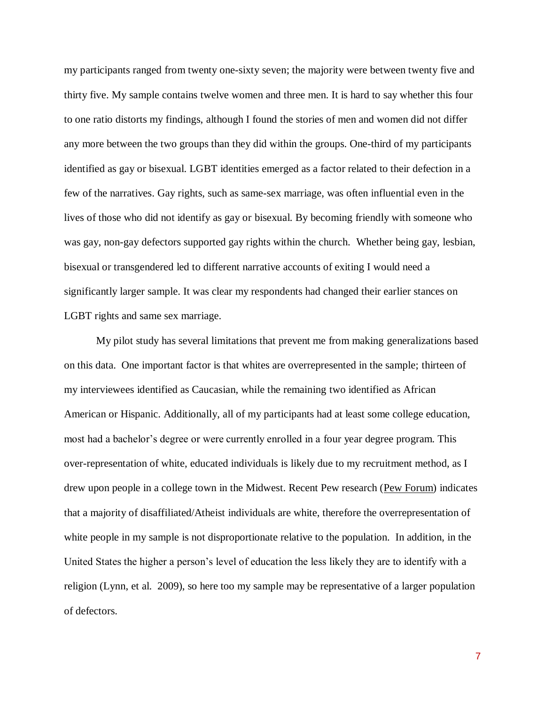my participants ranged from twenty one-sixty seven; the majority were between twenty five and thirty five. My sample contains twelve women and three men. It is hard to say whether this four to one ratio distorts my findings, although I found the stories of men and women did not differ any more between the two groups than they did within the groups. One-third of my participants identified as gay or bisexual. LGBT identities emerged as a factor related to their defection in a few of the narratives. Gay rights, such as same-sex marriage, was often influential even in the lives of those who did not identify as gay or bisexual. By becoming friendly with someone who was gay, non-gay defectors supported gay rights within the church. Whether being gay, lesbian, bisexual or transgendered led to different narrative accounts of exiting I would need a significantly larger sample. It was clear my respondents had changed their earlier stances on LGBT rights and same sex marriage.

My pilot study has several limitations that prevent me from making generalizations based on this data. One important factor is that whites are overrepresented in the sample; thirteen of my interviewees identified as Caucasian, while the remaining two identified as African American or Hispanic. Additionally, all of my participants had at least some college education, most had a bachelor's degree or were currently enrolled in a four year degree program. This over-representation of white, educated individuals is likely due to my recruitment method, as I drew upon people in a college town in the Midwest. Recent Pew research [\(Pew Forum\)](http://www.pewforum.org/2012/10/09/nones-on-the-rise-demographics/) indicates that a majority of disaffiliated/Atheist individuals are white, therefore the overrepresentation of white people in my sample is not disproportionate relative to the population. In addition, in the United States the higher a person's level of education the less likely they are to identify with a religion (Lynn, et al. 2009), so here too my sample may be representative of a larger population of defectors.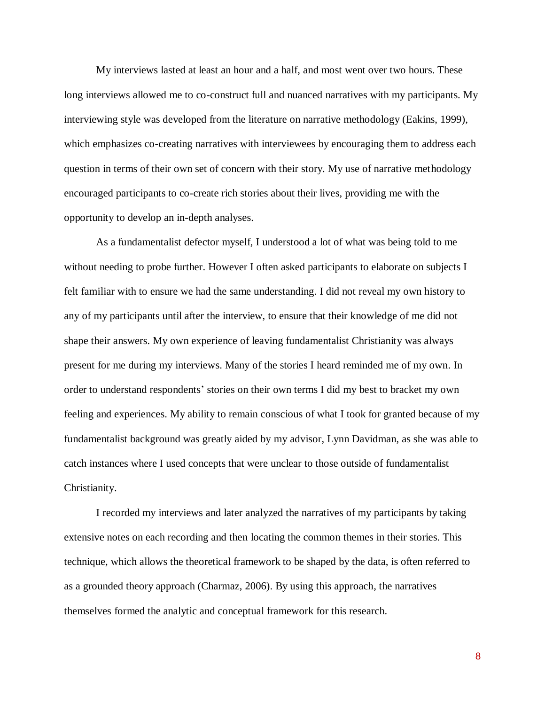My interviews lasted at least an hour and a half, and most went over two hours. These long interviews allowed me to co-construct full and nuanced narratives with my participants. My interviewing style was developed from the literature on narrative methodology (Eakins, 1999), which emphasizes co-creating narratives with interviewees by encouraging them to address each question in terms of their own set of concern with their story. My use of narrative methodology encouraged participants to co-create rich stories about their lives, providing me with the opportunity to develop an in-depth analyses.

As a fundamentalist defector myself, I understood a lot of what was being told to me without needing to probe further. However I often asked participants to elaborate on subjects I felt familiar with to ensure we had the same understanding. I did not reveal my own history to any of my participants until after the interview, to ensure that their knowledge of me did not shape their answers. My own experience of leaving fundamentalist Christianity was always present for me during my interviews. Many of the stories I heard reminded me of my own. In order to understand respondents' stories on their own terms I did my best to bracket my own feeling and experiences. My ability to remain conscious of what I took for granted because of my fundamentalist background was greatly aided by my advisor, Lynn Davidman, as she was able to catch instances where I used concepts that were unclear to those outside of fundamentalist Christianity.

I recorded my interviews and later analyzed the narratives of my participants by taking extensive notes on each recording and then locating the common themes in their stories. This technique, which allows the theoretical framework to be shaped by the data, is often referred to as a grounded theory approach (Charmaz, 2006). By using this approach, the narratives themselves formed the analytic and conceptual framework for this research.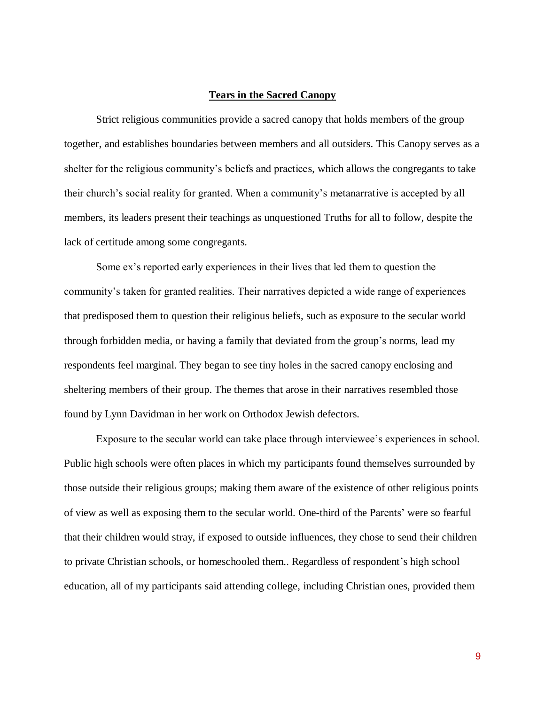### **Tears in the Sacred Canopy**

Strict religious communities provide a sacred canopy that holds members of the group together, and establishes boundaries between members and all outsiders. This Canopy serves as a shelter for the religious community's beliefs and practices, which allows the congregants to take their church's social reality for granted. When a community's metanarrative is accepted by all members, its leaders present their teachings as unquestioned Truths for all to follow, despite the lack of certitude among some congregants.

Some ex's reported early experiences in their lives that led them to question the community's taken for granted realities. Their narratives depicted a wide range of experiences that predisposed them to question their religious beliefs, such as exposure to the secular world through forbidden media, or having a family that deviated from the group's norms, lead my respondents feel marginal. They began to see tiny holes in the sacred canopy enclosing and sheltering members of their group. The themes that arose in their narratives resembled those found by Lynn Davidman in her work on Orthodox Jewish defectors.

Exposure to the secular world can take place through interviewee's experiences in school. Public high schools were often places in which my participants found themselves surrounded by those outside their religious groups; making them aware of the existence of other religious points of view as well as exposing them to the secular world. One-third of the Parents' were so fearful that their children would stray, if exposed to outside influences, they chose to send their children to private Christian schools, or homeschooled them.. Regardless of respondent's high school education, all of my participants said attending college, including Christian ones, provided them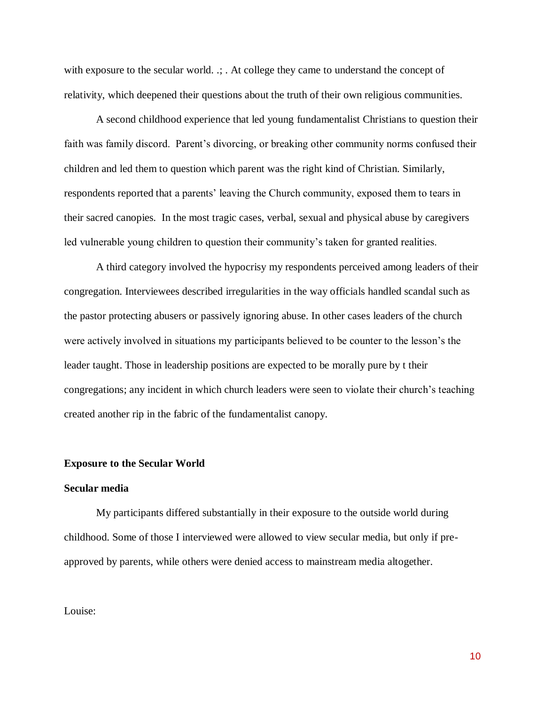with exposure to the secular world. .; . At college they came to understand the concept of relativity, which deepened their questions about the truth of their own religious communities.

A second childhood experience that led young fundamentalist Christians to question their faith was family discord. Parent's divorcing, or breaking other community norms confused their children and led them to question which parent was the right kind of Christian. Similarly, respondents reported that a parents' leaving the Church community, exposed them to tears in their sacred canopies. In the most tragic cases, verbal, sexual and physical abuse by caregivers led vulnerable young children to question their community's taken for granted realities.

A third category involved the hypocrisy my respondents perceived among leaders of their congregation. Interviewees described irregularities in the way officials handled scandal such as the pastor protecting abusers or passively ignoring abuse. In other cases leaders of the church were actively involved in situations my participants believed to be counter to the lesson's the leader taught. Those in leadership positions are expected to be morally pure by t their congregations; any incident in which church leaders were seen to violate their church's teaching created another rip in the fabric of the fundamentalist canopy.

### **Exposure to the Secular World**

### **Secular media**

My participants differed substantially in their exposure to the outside world during childhood. Some of those I interviewed were allowed to view secular media, but only if preapproved by parents, while others were denied access to mainstream media altogether.

#### Louise: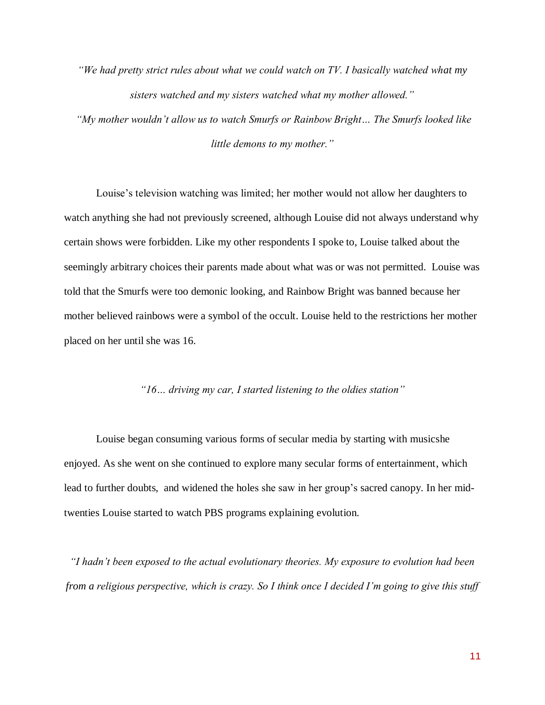*"We had pretty strict rules about what we could watch on TV. I basically watched what my sisters watched and my sisters watched what my mother allowed."*

*"My mother wouldn't allow us to watch Smurfs or Rainbow Bright… The Smurfs looked like little demons to my mother."*

Louise's television watching was limited; her mother would not allow her daughters to watch anything she had not previously screened, although Louise did not always understand why certain shows were forbidden. Like my other respondents I spoke to, Louise talked about the seemingly arbitrary choices their parents made about what was or was not permitted. Louise was told that the Smurfs were too demonic looking, and Rainbow Bright was banned because her mother believed rainbows were a symbol of the occult. Louise held to the restrictions her mother placed on her until she was 16.

# *"16… driving my car, I started listening to the oldies station"*

Louise began consuming various forms of secular media by starting with musicshe enjoyed. As she went on she continued to explore many secular forms of entertainment, which lead to further doubts, and widened the holes she saw in her group's sacred canopy. In her midtwenties Louise started to watch PBS programs explaining evolution.

*"I hadn't been exposed to the actual evolutionary theories. My exposure to evolution had been from a religious perspective, which is crazy. So I think once I decided I'm going to give this stuff*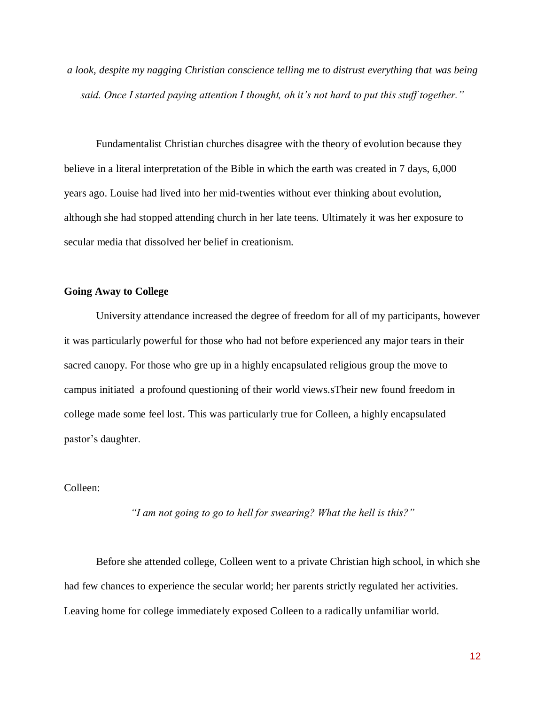*a look, despite my nagging Christian conscience telling me to distrust everything that was being said. Once I started paying attention I thought, oh it's not hard to put this stuff together."*

Fundamentalist Christian churches disagree with the theory of evolution because they believe in a literal interpretation of the Bible in which the earth was created in 7 days, 6,000 years ago. Louise had lived into her mid-twenties without ever thinking about evolution, although she had stopped attending church in her late teens. Ultimately it was her exposure to secular media that dissolved her belief in creationism.

# **Going Away to College**

University attendance increased the degree of freedom for all of my participants, however it was particularly powerful for those who had not before experienced any major tears in their sacred canopy. For those who gre up in a highly encapsulated religious group the move to campus initiated a profound questioning of their world views.sTheir new found freedom in college made some feel lost. This was particularly true for Colleen, a highly encapsulated pastor's daughter.

### Colleen:

*"I am not going to go to hell for swearing? What the hell is this?"*

Before she attended college, Colleen went to a private Christian high school, in which she had few chances to experience the secular world; her parents strictly regulated her activities. Leaving home for college immediately exposed Colleen to a radically unfamiliar world.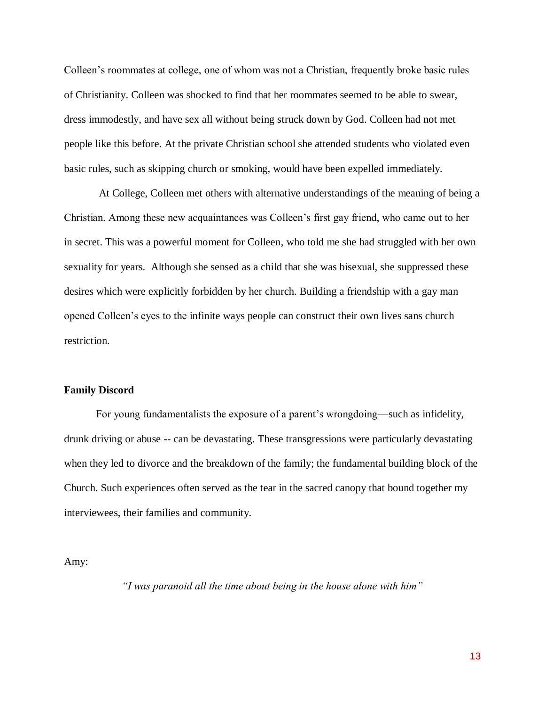Colleen's roommates at college, one of whom was not a Christian, frequently broke basic rules of Christianity. Colleen was shocked to find that her roommates seemed to be able to swear, dress immodestly, and have sex all without being struck down by God. Colleen had not met people like this before. At the private Christian school she attended students who violated even basic rules, such as skipping church or smoking, would have been expelled immediately.

At College, Colleen met others with alternative understandings of the meaning of being a Christian. Among these new acquaintances was Colleen's first gay friend, who came out to her in secret. This was a powerful moment for Colleen, who told me she had struggled with her own sexuality for years. Although she sensed as a child that she was bisexual, she suppressed these desires which were explicitly forbidden by her church. Building a friendship with a gay man opened Colleen's eyes to the infinite ways people can construct their own lives sans church restriction.

#### **Family Discord**

For young fundamentalists the exposure of a parent's wrongdoing—such as infidelity, drunk driving or abuse -- can be devastating. These transgressions were particularly devastating when they led to divorce and the breakdown of the family; the fundamental building block of the Church. Such experiences often served as the tear in the sacred canopy that bound together my interviewees, their families and community.

Amy:

*"I was paranoid all the time about being in the house alone with him"*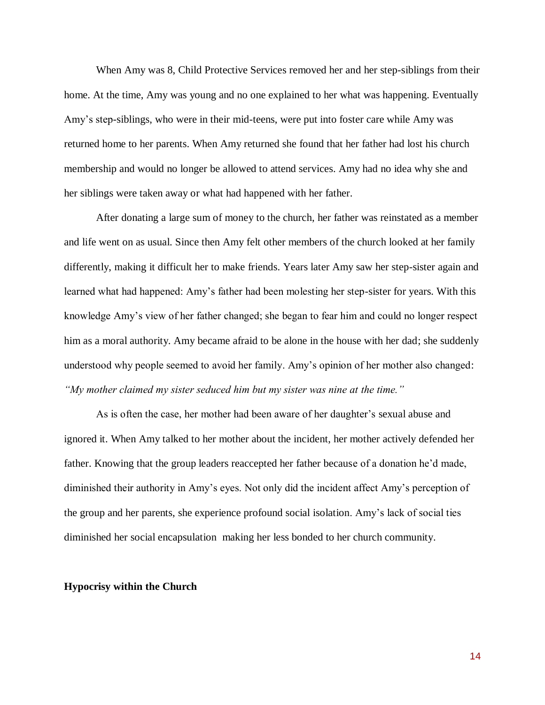When Amy was 8, Child Protective Services removed her and her step-siblings from their home. At the time, Amy was young and no one explained to her what was happening. Eventually Amy's step-siblings, who were in their mid-teens, were put into foster care while Amy was returned home to her parents. When Amy returned she found that her father had lost his church membership and would no longer be allowed to attend services. Amy had no idea why she and her siblings were taken away or what had happened with her father.

After donating a large sum of money to the church, her father was reinstated as a member and life went on as usual. Since then Amy felt other members of the church looked at her family differently, making it difficult her to make friends. Years later Amy saw her step-sister again and learned what had happened: Amy's father had been molesting her step-sister for years. With this knowledge Amy's view of her father changed; she began to fear him and could no longer respect him as a moral authority. Amy became afraid to be alone in the house with her dad; she suddenly understood why people seemed to avoid her family. Amy's opinion of her mother also changed: *"My mother claimed my sister seduced him but my sister was nine at the time."*

As is often the case, her mother had been aware of her daughter's sexual abuse and ignored it. When Amy talked to her mother about the incident, her mother actively defended her father. Knowing that the group leaders reaccepted her father because of a donation he'd made, diminished their authority in Amy's eyes. Not only did the incident affect Amy's perception of the group and her parents, she experience profound social isolation. Amy's lack of social ties diminished her social encapsulation making her less bonded to her church community.

### **Hypocrisy within the Church**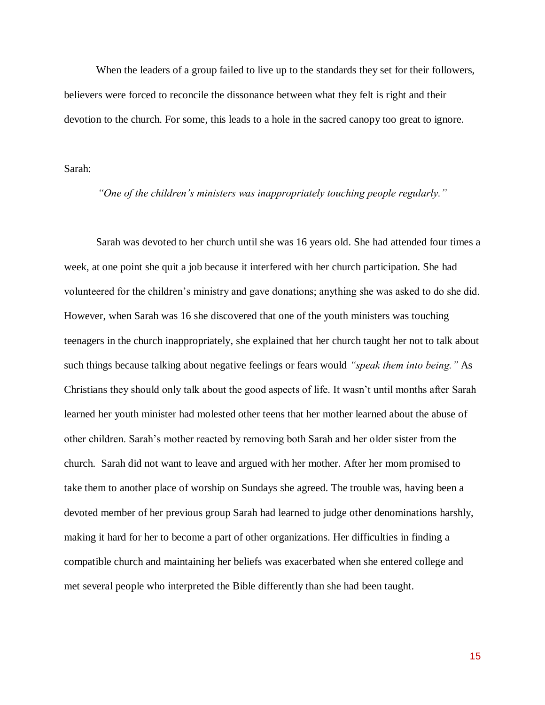When the leaders of a group failed to live up to the standards they set for their followers, believers were forced to reconcile the dissonance between what they felt is right and their devotion to the church. For some, this leads to a hole in the sacred canopy too great to ignore.

Sarah:

*"One of the children's ministers was inappropriately touching people regularly."*

Sarah was devoted to her church until she was 16 years old. She had attended four times a week, at one point she quit a job because it interfered with her church participation. She had volunteered for the children's ministry and gave donations; anything she was asked to do she did. However, when Sarah was 16 she discovered that one of the youth ministers was touching teenagers in the church inappropriately, she explained that her church taught her not to talk about such things because talking about negative feelings or fears would *"speak them into being."* As Christians they should only talk about the good aspects of life. It wasn't until months after Sarah learned her youth minister had molested other teens that her mother learned about the abuse of other children. Sarah's mother reacted by removing both Sarah and her older sister from the church. Sarah did not want to leave and argued with her mother. After her mom promised to take them to another place of worship on Sundays she agreed. The trouble was, having been a devoted member of her previous group Sarah had learned to judge other denominations harshly, making it hard for her to become a part of other organizations. Her difficulties in finding a compatible church and maintaining her beliefs was exacerbated when she entered college and met several people who interpreted the Bible differently than she had been taught.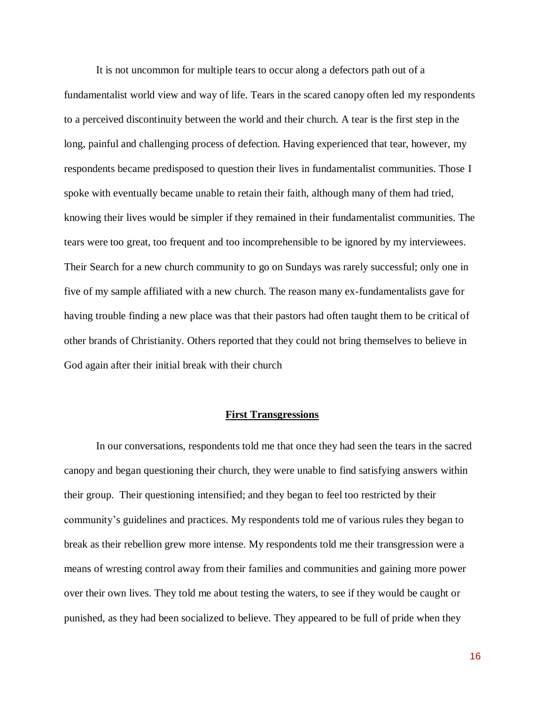It is not uncommon for multiple tears to occur along a defectors path out of a fundamentalist world view and way of life. Tears in the scared canopy often led my respondents to a perceived discontinuity between the world and their church. A tear is the first step in the long, painful and challenging process of defection. Having experienced that tear, however, my respondents became predisposed to question their lives in fundamentalist communities. Those I spoke with eventually became unable to retain their faith, although many of them had tried, knowing their lives would be simpler if they remained in their fundamentalist communities. The tears were too great, too frequent and too incomprehensible to be ignored by my interviewees. Their Search for a new church community to go on Sundays was rarely successful; only one in five of my sample affiliated with a new church. The reason many ex-fundamentalists gave for having trouble finding a new place was that their pastors had often taught them to be critical of other brands of Christianity. Others reported that they could not bring themselves to believe in God again after their initial break with their church

### **First Transgressions**

In our conversations, respondents told me that once they had seen the tears in the sacred canopy and began questioning their church, they were unable to find satisfying answers within their group. Their questioning intensified; and they began to feel too restricted by their community's guidelines and practices. My respondents told me of various rules they began to break as their rebellion grew more intense. My respondents told me their transgression were a means of wresting control away from their families and communities and gaining more power over their own lives. They told me about testing the waters, to see if they would be caught or punished, as they had been socialized to believe. They appeared to be full of pride when they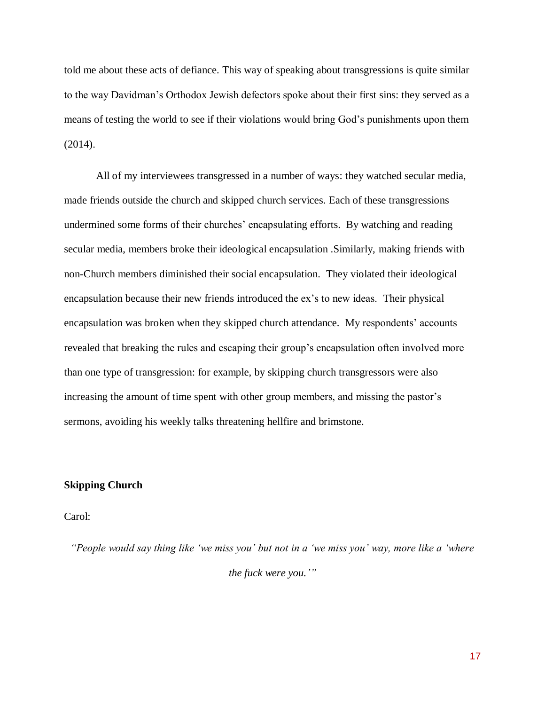told me about these acts of defiance. This way of speaking about transgressions is quite similar to the way Davidman's Orthodox Jewish defectors spoke about their first sins: they served as a means of testing the world to see if their violations would bring God's punishments upon them (2014).

All of my interviewees transgressed in a number of ways: they watched secular media, made friends outside the church and skipped church services. Each of these transgressions undermined some forms of their churches' encapsulating efforts. By watching and reading secular media, members broke their ideological encapsulation .Similarly, making friends with non-Church members diminished their social encapsulation. They violated their ideological encapsulation because their new friends introduced the ex's to new ideas. Their physical encapsulation was broken when they skipped church attendance. My respondents' accounts revealed that breaking the rules and escaping their group's encapsulation often involved more than one type of transgression: for example, by skipping church transgressors were also increasing the amount of time spent with other group members, and missing the pastor's sermons, avoiding his weekly talks threatening hellfire and brimstone.

# **Skipping Church**

### Carol:

*"People would say thing like 'we miss you' but not in a 'we miss you' way, more like a 'where the fuck were you.'"*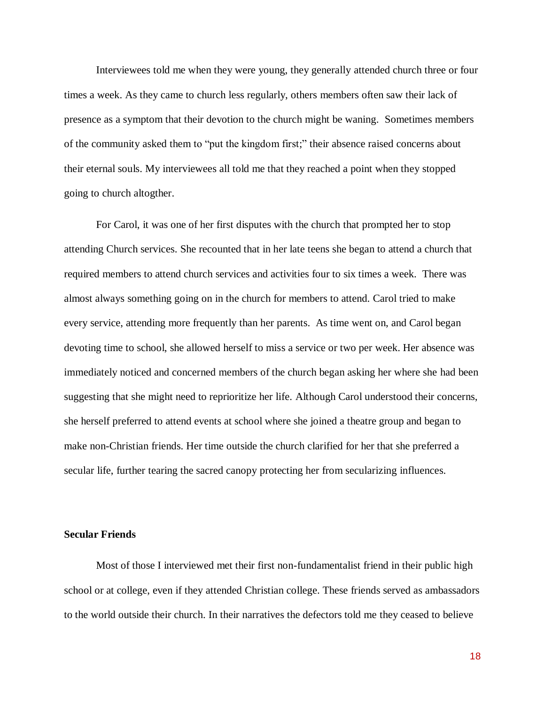Interviewees told me when they were young, they generally attended church three or four times a week. As they came to church less regularly, others members often saw their lack of presence as a symptom that their devotion to the church might be waning. Sometimes members of the community asked them to "put the kingdom first;" their absence raised concerns about their eternal souls. My interviewees all told me that they reached a point when they stopped going to church altogther.

For Carol, it was one of her first disputes with the church that prompted her to stop attending Church services. She recounted that in her late teens she began to attend a church that required members to attend church services and activities four to six times a week. There was almost always something going on in the church for members to attend. Carol tried to make every service, attending more frequently than her parents. As time went on, and Carol began devoting time to school, she allowed herself to miss a service or two per week. Her absence was immediately noticed and concerned members of the church began asking her where she had been suggesting that she might need to reprioritize her life. Although Carol understood their concerns, she herself preferred to attend events at school where she joined a theatre group and began to make non-Christian friends. Her time outside the church clarified for her that she preferred a secular life, further tearing the sacred canopy protecting her from secularizing influences.

# **Secular Friends**

Most of those I interviewed met their first non-fundamentalist friend in their public high school or at college, even if they attended Christian college. These friends served as ambassadors to the world outside their church. In their narratives the defectors told me they ceased to believe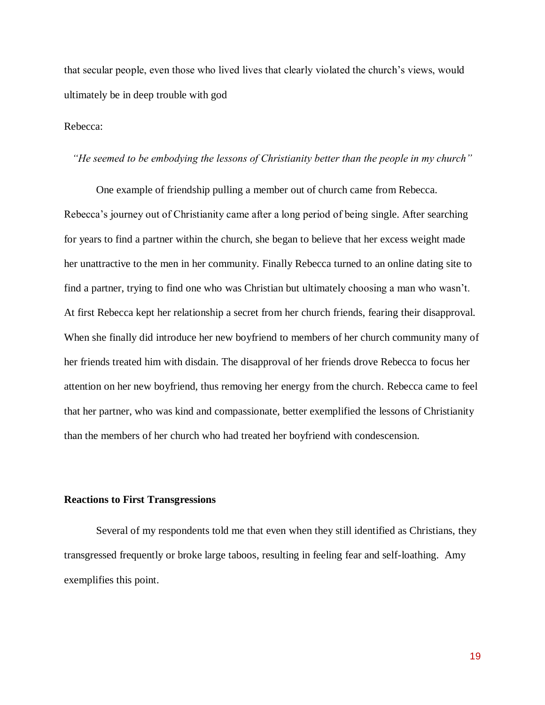that secular people, even those who lived lives that clearly violated the church's views, would ultimately be in deep trouble with god

### Rebecca:

### *"He seemed to be embodying the lessons of Christianity better than the people in my church"*

One example of friendship pulling a member out of church came from Rebecca. Rebecca's journey out of Christianity came after a long period of being single. After searching for years to find a partner within the church, she began to believe that her excess weight made her unattractive to the men in her community. Finally Rebecca turned to an online dating site to find a partner, trying to find one who was Christian but ultimately choosing a man who wasn't. At first Rebecca kept her relationship a secret from her church friends, fearing their disapproval. When she finally did introduce her new boyfriend to members of her church community many of her friends treated him with disdain. The disapproval of her friends drove Rebecca to focus her attention on her new boyfriend, thus removing her energy from the church. Rebecca came to feel that her partner, who was kind and compassionate, better exemplified the lessons of Christianity than the members of her church who had treated her boyfriend with condescension.

# **Reactions to First Transgressions**

Several of my respondents told me that even when they still identified as Christians, they transgressed frequently or broke large taboos, resulting in feeling fear and self-loathing. Amy exemplifies this point.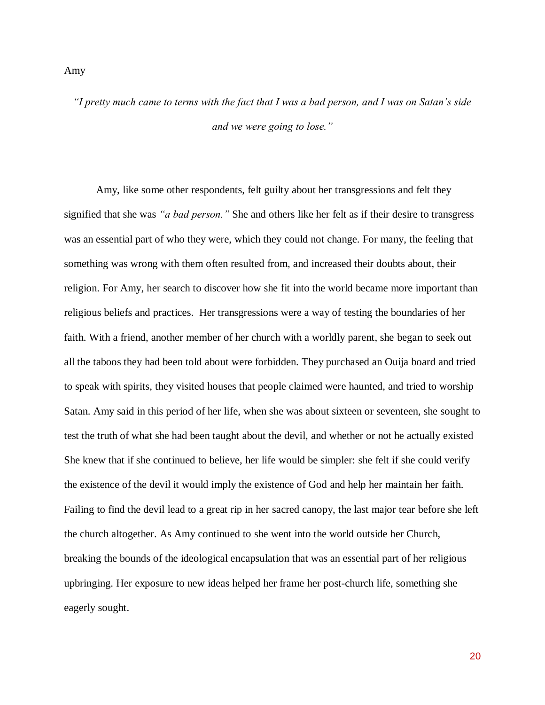#### Amy

*"I pretty much came to terms with the fact that I was a bad person, and I was on Satan's side and we were going to lose."*

Amy, like some other respondents, felt guilty about her transgressions and felt they signified that she was *"a bad person."* She and others like her felt as if their desire to transgress was an essential part of who they were, which they could not change. For many, the feeling that something was wrong with them often resulted from, and increased their doubts about, their religion. For Amy, her search to discover how she fit into the world became more important than religious beliefs and practices. Her transgressions were a way of testing the boundaries of her faith. With a friend, another member of her church with a worldly parent, she began to seek out all the taboos they had been told about were forbidden. They purchased an Ouija board and tried to speak with spirits, they visited houses that people claimed were haunted, and tried to worship Satan. Amy said in this period of her life, when she was about sixteen or seventeen, she sought to test the truth of what she had been taught about the devil, and whether or not he actually existed She knew that if she continued to believe, her life would be simpler: she felt if she could verify the existence of the devil it would imply the existence of God and help her maintain her faith. Failing to find the devil lead to a great rip in her sacred canopy, the last major tear before she left the church altogether. As Amy continued to she went into the world outside her Church, breaking the bounds of the ideological encapsulation that was an essential part of her religious upbringing. Her exposure to new ideas helped her frame her post-church life, something she eagerly sought.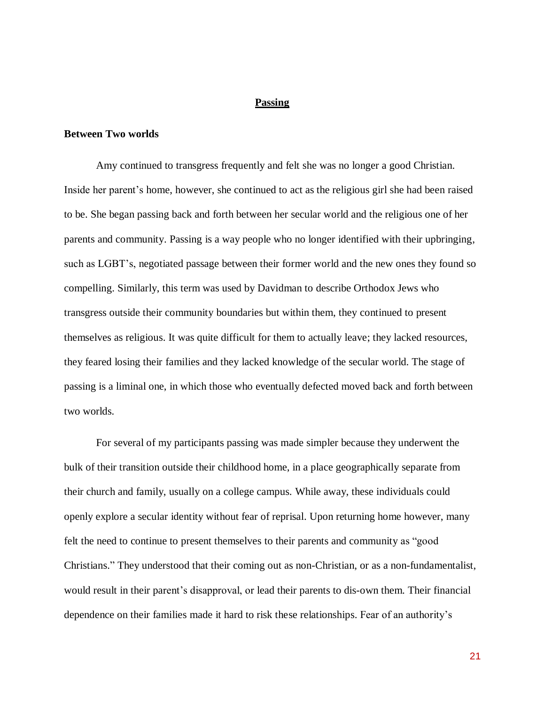### **Passing**

#### **Between Two worlds**

Amy continued to transgress frequently and felt she was no longer a good Christian. Inside her parent's home, however, she continued to act as the religious girl she had been raised to be. She began passing back and forth between her secular world and the religious one of her parents and community. Passing is a way people who no longer identified with their upbringing, such as LGBT's, negotiated passage between their former world and the new ones they found so compelling. Similarly, this term was used by Davidman to describe Orthodox Jews who transgress outside their community boundaries but within them, they continued to present themselves as religious. It was quite difficult for them to actually leave; they lacked resources, they feared losing their families and they lacked knowledge of the secular world. The stage of passing is a liminal one, in which those who eventually defected moved back and forth between two worlds.

For several of my participants passing was made simpler because they underwent the bulk of their transition outside their childhood home, in a place geographically separate from their church and family, usually on a college campus. While away, these individuals could openly explore a secular identity without fear of reprisal. Upon returning home however, many felt the need to continue to present themselves to their parents and community as "good Christians." They understood that their coming out as non-Christian, or as a non-fundamentalist, would result in their parent's disapproval, or lead their parents to dis-own them. Their financial dependence on their families made it hard to risk these relationships. Fear of an authority's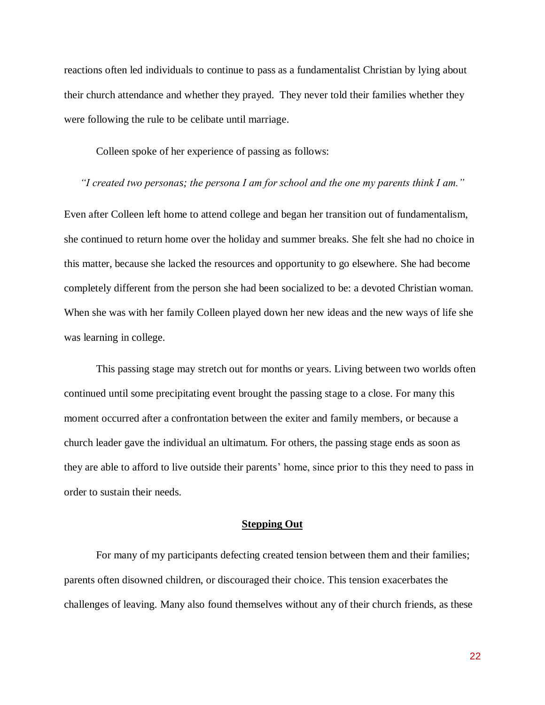reactions often led individuals to continue to pass as a fundamentalist Christian by lying about their church attendance and whether they prayed. They never told their families whether they were following the rule to be celibate until marriage.

Colleen spoke of her experience of passing as follows:

*"I created two personas; the persona I am for school and the one my parents think I am."*

Even after Colleen left home to attend college and began her transition out of fundamentalism, she continued to return home over the holiday and summer breaks. She felt she had no choice in this matter, because she lacked the resources and opportunity to go elsewhere. She had become completely different from the person she had been socialized to be: a devoted Christian woman. When she was with her family Colleen played down her new ideas and the new ways of life she was learning in college.

This passing stage may stretch out for months or years. Living between two worlds often continued until some precipitating event brought the passing stage to a close. For many this moment occurred after a confrontation between the exiter and family members, or because a church leader gave the individual an ultimatum. For others, the passing stage ends as soon as they are able to afford to live outside their parents' home, since prior to this they need to pass in order to sustain their needs.

### **Stepping Out**

For many of my participants defecting created tension between them and their families; parents often disowned children, or discouraged their choice. This tension exacerbates the challenges of leaving. Many also found themselves without any of their church friends, as these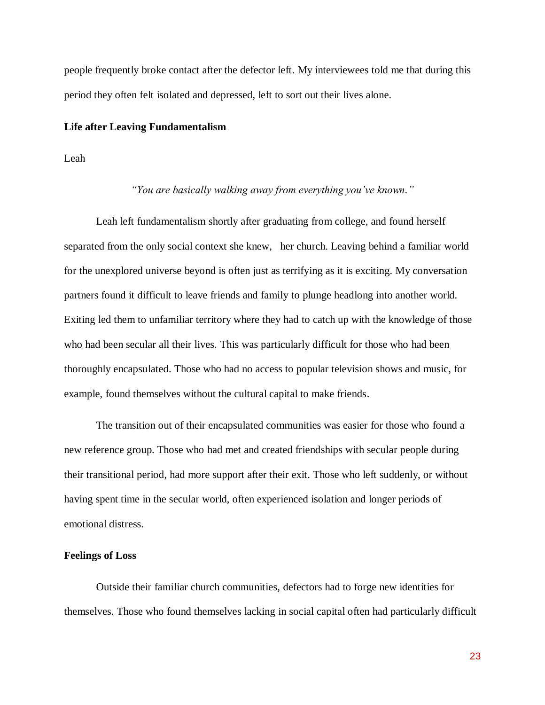people frequently broke contact after the defector left. My interviewees told me that during this period they often felt isolated and depressed, left to sort out their lives alone.

#### **Life after Leaving Fundamentalism**

Leah

#### *"You are basically walking away from everything you've known."*

Leah left fundamentalism shortly after graduating from college, and found herself separated from the only social context she knew, her church. Leaving behind a familiar world for the unexplored universe beyond is often just as terrifying as it is exciting. My conversation partners found it difficult to leave friends and family to plunge headlong into another world. Exiting led them to unfamiliar territory where they had to catch up with the knowledge of those who had been secular all their lives. This was particularly difficult for those who had been thoroughly encapsulated. Those who had no access to popular television shows and music, for example, found themselves without the cultural capital to make friends.

The transition out of their encapsulated communities was easier for those who found a new reference group. Those who had met and created friendships with secular people during their transitional period, had more support after their exit. Those who left suddenly, or without having spent time in the secular world, often experienced isolation and longer periods of emotional distress.

### **Feelings of Loss**

Outside their familiar church communities, defectors had to forge new identities for themselves. Those who found themselves lacking in social capital often had particularly difficult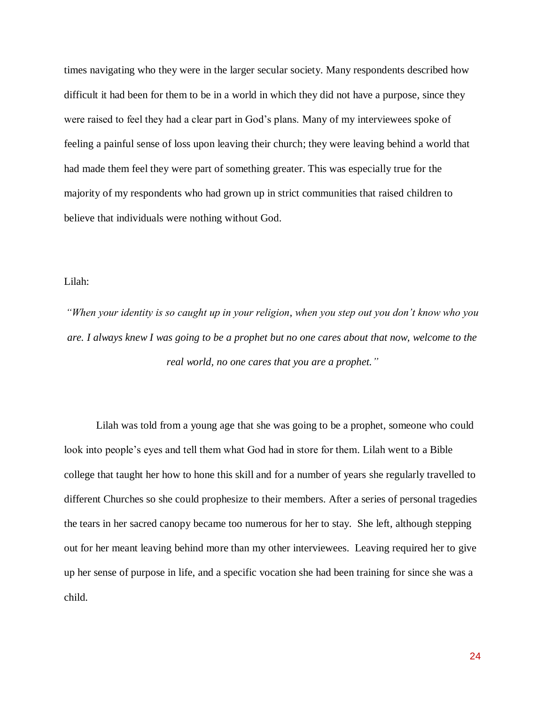times navigating who they were in the larger secular society. Many respondents described how difficult it had been for them to be in a world in which they did not have a purpose, since they were raised to feel they had a clear part in God's plans. Many of my interviewees spoke of feeling a painful sense of loss upon leaving their church; they were leaving behind a world that had made them feel they were part of something greater. This was especially true for the majority of my respondents who had grown up in strict communities that raised children to believe that individuals were nothing without God.

#### Lilah:

*"When your identity is so caught up in your religion, when you step out you don't know who you are. I always knew I was going to be a prophet but no one cares about that now, welcome to the real world, no one cares that you are a prophet."*

Lilah was told from a young age that she was going to be a prophet, someone who could look into people's eyes and tell them what God had in store for them. Lilah went to a Bible college that taught her how to hone this skill and for a number of years she regularly travelled to different Churches so she could prophesize to their members. After a series of personal tragedies the tears in her sacred canopy became too numerous for her to stay. She left, although stepping out for her meant leaving behind more than my other interviewees. Leaving required her to give up her sense of purpose in life, and a specific vocation she had been training for since she was a child.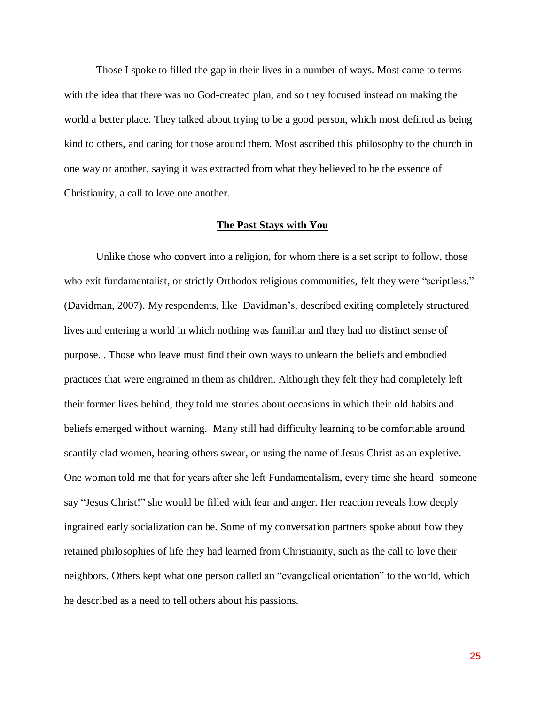Those I spoke to filled the gap in their lives in a number of ways. Most came to terms with the idea that there was no God-created plan, and so they focused instead on making the world a better place. They talked about trying to be a good person, which most defined as being kind to others, and caring for those around them. Most ascribed this philosophy to the church in one way or another, saying it was extracted from what they believed to be the essence of Christianity, a call to love one another.

### **The Past Stays with You**

Unlike those who convert into a religion, for whom there is a set script to follow, those who exit fundamentalist, or strictly Orthodox religious communities, felt they were "scriptless." (Davidman, 2007). My respondents, like Davidman's, described exiting completely structured lives and entering a world in which nothing was familiar and they had no distinct sense of purpose. . Those who leave must find their own ways to unlearn the beliefs and embodied practices that were engrained in them as children. Although they felt they had completely left their former lives behind, they told me stories about occasions in which their old habits and beliefs emerged without warning. Many still had difficulty learning to be comfortable around scantily clad women, hearing others swear, or using the name of Jesus Christ as an expletive. One woman told me that for years after she left Fundamentalism, every time she heard someone say "Jesus Christ!" she would be filled with fear and anger. Her reaction reveals how deeply ingrained early socialization can be. Some of my conversation partners spoke about how they retained philosophies of life they had learned from Christianity, such as the call to love their neighbors. Others kept what one person called an "evangelical orientation" to the world, which he described as a need to tell others about his passions.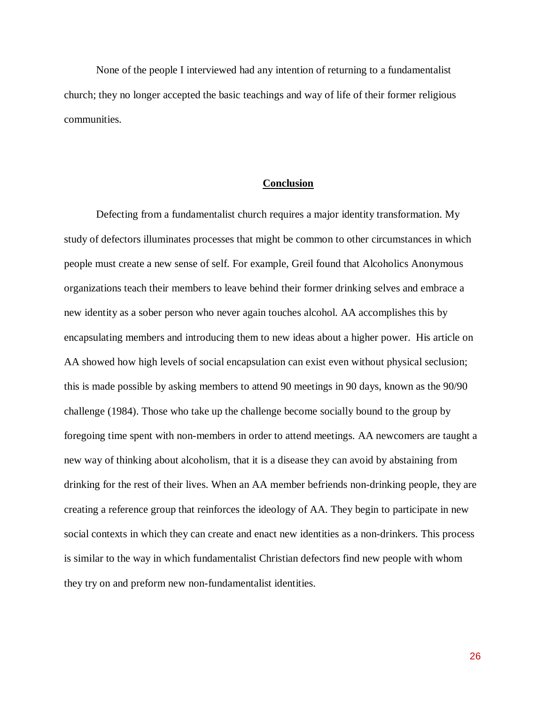None of the people I interviewed had any intention of returning to a fundamentalist church; they no longer accepted the basic teachings and way of life of their former religious communities.

#### **Conclusion**

Defecting from a fundamentalist church requires a major identity transformation. My study of defectors illuminates processes that might be common to other circumstances in which people must create a new sense of self. For example, Greil found that Alcoholics Anonymous organizations teach their members to leave behind their former drinking selves and embrace a new identity as a sober person who never again touches alcohol. AA accomplishes this by encapsulating members and introducing them to new ideas about a higher power. His article on AA showed how high levels of social encapsulation can exist even without physical seclusion; this is made possible by asking members to attend 90 meetings in 90 days, known as the 90/90 challenge (1984). Those who take up the challenge become socially bound to the group by foregoing time spent with non-members in order to attend meetings. AA newcomers are taught a new way of thinking about alcoholism, that it is a disease they can avoid by abstaining from drinking for the rest of their lives. When an AA member befriends non-drinking people, they are creating a reference group that reinforces the ideology of AA. They begin to participate in new social contexts in which they can create and enact new identities as a non-drinkers. This process is similar to the way in which fundamentalist Christian defectors find new people with whom they try on and preform new non-fundamentalist identities.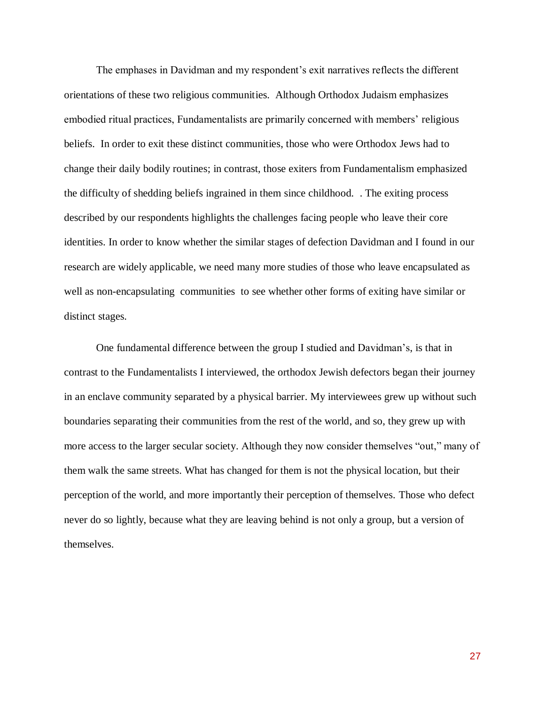The emphases in Davidman and my respondent's exit narratives reflects the different orientations of these two religious communities. Although Orthodox Judaism emphasizes embodied ritual practices, Fundamentalists are primarily concerned with members' religious beliefs. In order to exit these distinct communities, those who were Orthodox Jews had to change their daily bodily routines; in contrast, those exiters from Fundamentalism emphasized the difficulty of shedding beliefs ingrained in them since childhood. . The exiting process described by our respondents highlights the challenges facing people who leave their core identities. In order to know whether the similar stages of defection Davidman and I found in our research are widely applicable, we need many more studies of those who leave encapsulated as well as non-encapsulating communities to see whether other forms of exiting have similar or distinct stages.

One fundamental difference between the group I studied and Davidman's, is that in contrast to the Fundamentalists I interviewed, the orthodox Jewish defectors began their journey in an enclave community separated by a physical barrier. My interviewees grew up without such boundaries separating their communities from the rest of the world, and so, they grew up with more access to the larger secular society. Although they now consider themselves "out," many of them walk the same streets. What has changed for them is not the physical location, but their perception of the world, and more importantly their perception of themselves. Those who defect never do so lightly, because what they are leaving behind is not only a group, but a version of themselves.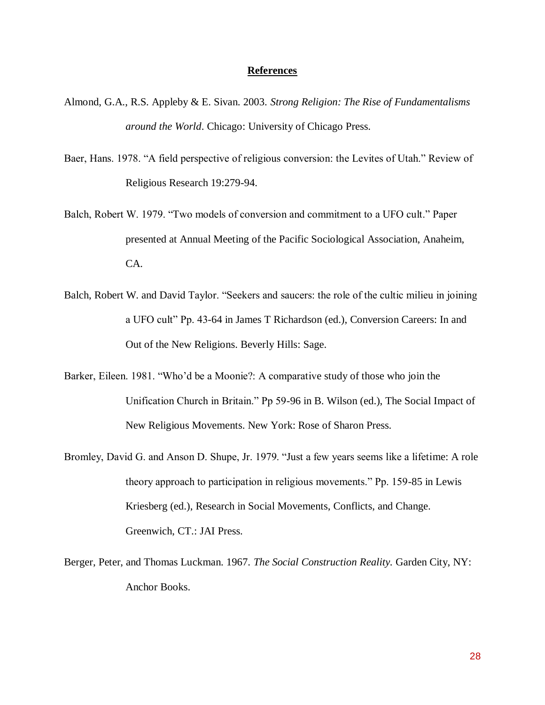### **References**

- Almond, G.A., R.S. Appleby & E. Sivan. 2003. *Strong Religion: The Rise of Fundamentalisms around the World*. Chicago: University of Chicago Press.
- Baer, Hans. 1978. "A field perspective of religious conversion: the Levites of Utah." Review of Religious Research 19:279-94.
- Balch, Robert W. 1979. "Two models of conversion and commitment to a UFO cult." Paper presented at Annual Meeting of the Pacific Sociological Association, Anaheim, CA.
- Balch, Robert W. and David Taylor. "Seekers and saucers: the role of the cultic milieu in joining a UFO cult" Pp. 43-64 in James T Richardson (ed.), Conversion Careers: In and Out of the New Religions. Beverly Hills: Sage.
- Barker, Eileen. 1981. "Who'd be a Moonie?: A comparative study of those who join the Unification Church in Britain." Pp 59-96 in B. Wilson (ed.), The Social Impact of New Religious Movements. New York: Rose of Sharon Press.
- Bromley, David G. and Anson D. Shupe, Jr. 1979. "Just a few years seems like a lifetime: A role theory approach to participation in religious movements." Pp. 159-85 in Lewis Kriesberg (ed.), Research in Social Movements, Conflicts, and Change. Greenwich, CT.: JAI Press.
- Berger, Peter, and Thomas Luckman. 1967. *The Social Construction Reality.* Garden City, NY: Anchor Books.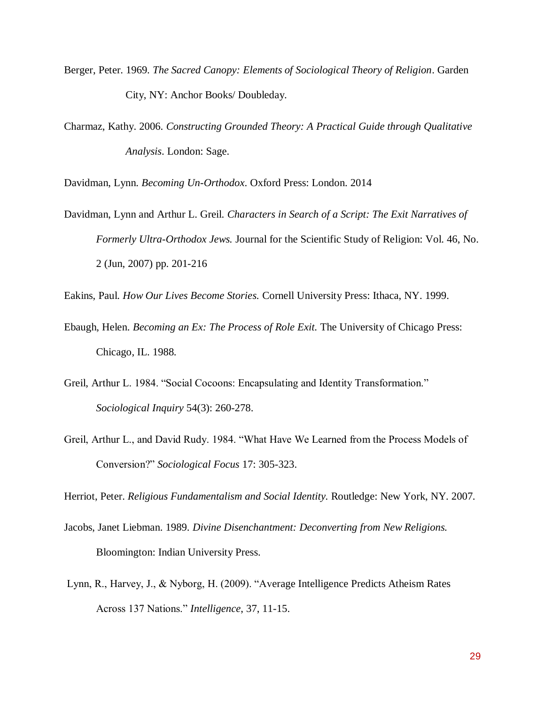- Berger, Peter. 1969. *The Sacred Canopy: Elements of Sociological Theory of Religion*. Garden City, NY: Anchor Books/ Doubleday.
- Charmaz, Kathy. 2006. *Constructing Grounded Theory: A Practical Guide through Qualitative Analysis*. London: Sage.

Davidman, Lynn. *Becoming Un-Orthodox*. Oxford Press: London. 2014

- Davidman, Lynn and Arthur L. Greil. *Characters in Search of a Script: The Exit Narratives of Formerly Ultra-Orthodox Jews.* Journal for the Scientific Study of Religion: Vol. 46, No. 2 (Jun, 2007) pp. 201-216
- Eakins, Paul. *How Our Lives Become Stories.* Cornell University Press: Ithaca, NY. 1999.
- Ebaugh, Helen. *Becoming an Ex: The Process of Role Exit.* The University of Chicago Press: Chicago, IL. 1988.
- Greil, Arthur L. 1984. "Social Cocoons: Encapsulating and Identity Transformation." *Sociological Inquiry* 54(3): 260-278.
- Greil, Arthur L., and David Rudy. 1984. "What Have We Learned from the Process Models of Conversion?" *Sociological Focus* 17: 305-323.

Herriot, Peter. *Religious Fundamentalism and Social Identity.* Routledge: New York, NY. 2007.

- Jacobs, Janet Liebman. 1989. *Divine Disenchantment: Deconverting from New Religions.* Bloomington: Indian University Press.
- Lynn, R., Harvey, J., & Nyborg, H. (2009). "Average Intelligence Predicts Atheism Rates Across 137 Nations." *Intelligence*, 37, 11-15.